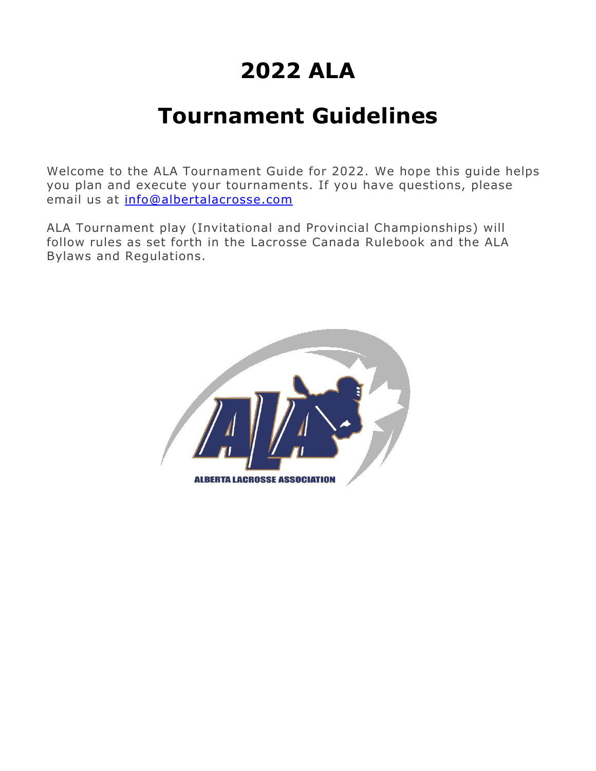# **2022 ALA**

# **Tournament Guidelines**

Welcome to the ALA Tournament Guide for 2022. We hope this guide helps you plan and execute your tournaments. If you have questions, please email us at [info@albertalacrosse.com](mailto:info@albertalacrosse.com)

ALA Tournament play (Invitational and Provincial Championships) will follow rules as set forth in the Lacrosse Canada Rulebook and the ALA Bylaws and Regulations.

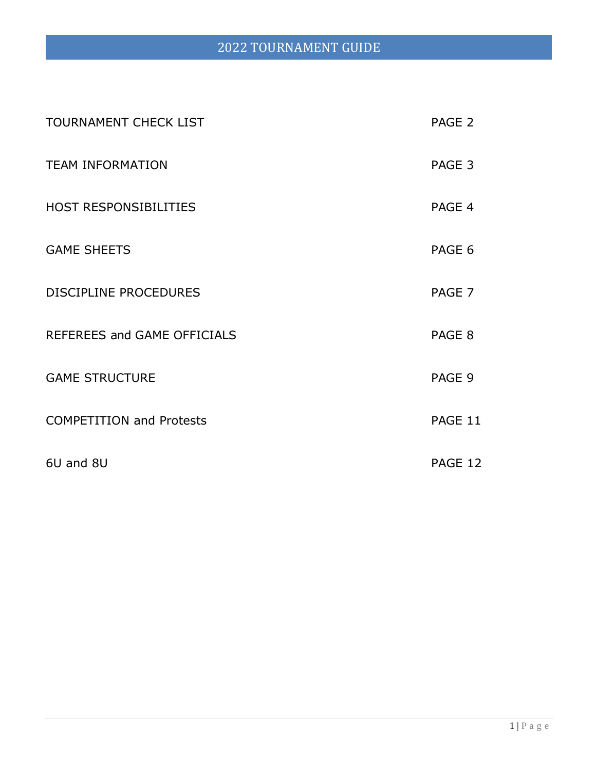# 2022 TOURNAMENT GUIDE

| <b>TOURNAMENT CHECK LIST</b>    | PAGE 2  |
|---------------------------------|---------|
| <b>TEAM INFORMATION</b>         | PAGE 3  |
| <b>HOST RESPONSIBILITIES</b>    | PAGE 4  |
| <b>GAME SHEETS</b>              | PAGE 6  |
| <b>DISCIPLINE PROCEDURES</b>    | PAGE 7  |
| REFEREES and GAME OFFICIALS     | PAGE 8  |
| <b>GAME STRUCTURE</b>           | PAGE 9  |
| <b>COMPETITION and Protests</b> | PAGE 11 |
| 6U and 8U                       | PAGE 12 |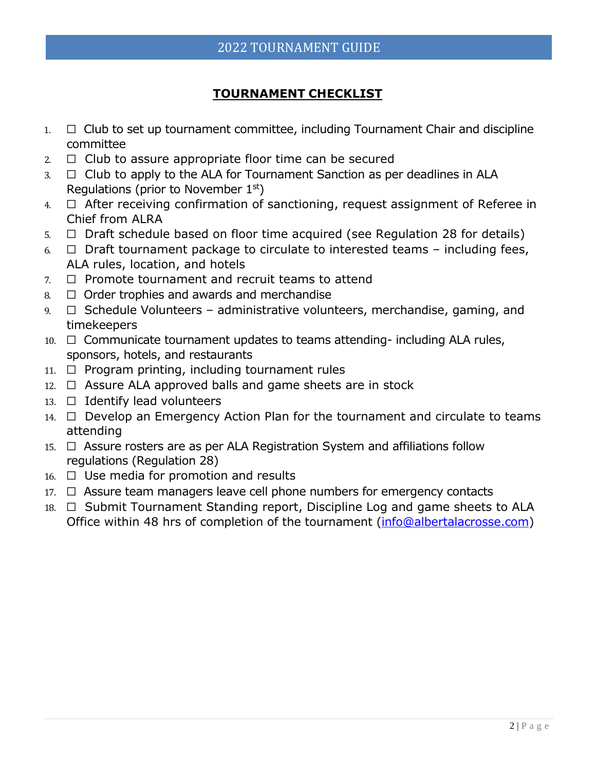## **TOURNAMENT CHECKLIST**

- $1. \square$  Club to set up tournament committee, including Tournament Chair and discipline committee
- $2. \Box$  Club to assure appropriate floor time can be secured
- $3. \Box$  Club to apply to the ALA for Tournament Sanction as per deadlines in ALA Regulations (prior to November  $1<sup>st</sup>$ )
- 4. ☐ After receiving confirmation of sanctioning, request assignment of Referee in Chief from ALRA
- $5. \Box$  Draft schedule based on floor time acquired (see Regulation 28 for details)
- $6. \Box$  Draft tournament package to circulate to interested teams including fees, ALA rules, location, and hotels
- 7. ☐ Promote tournament and recruit teams to attend
- $8. \Box$  Order trophies and awards and merchandise
- $9. \Box$  Schedule Volunteers administrative volunteers, merchandise, gaming, and timekeepers
- 10.  $□$  Communicate tournament updates to teams attending- including ALA rules, sponsors, hotels, and restaurants
- 11. □ Program printing, including tournament rules
- $12. \Box$  Assure ALA approved balls and game sheets are in stock
- 13.  $\Box$  Identify lead volunteers
- 14. □ Develop an Emergency Action Plan for the tournament and circulate to teams attending
- 15. □ Assure rosters are as per ALA Registration System and affiliations follow regulations (Regulation 28)
- $16. \square$  Use media for promotion and results
- 17. □ Assure team managers leave cell phone numbers for emergency contacts
- 18. □ Submit Tournament Standing report, Discipline Log and game sheets to ALA Office within 48 hrs of completion of the tournament [\(info@albertalacrosse.com\)](mailto:info@albertalacrosse.com)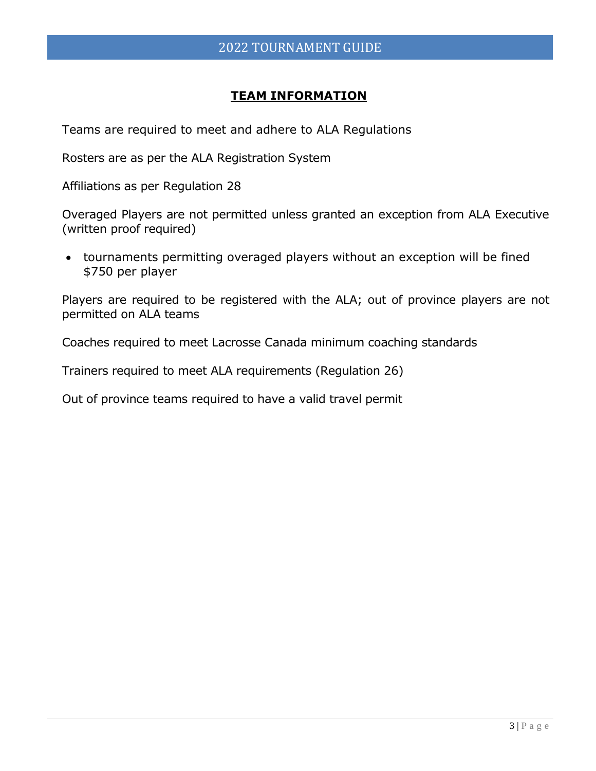### **TEAM INFORMATION**

Teams are required to meet and adhere to ALA Regulations

Rosters are as per the ALA Registration System

Affiliations as per Regulation 28

Overaged Players are not permitted unless granted an exception from ALA Executive (written proof required)

• tournaments permitting overaged players without an exception will be fined \$750 per player

Players are required to be registered with the ALA; out of province players are not permitted on ALA teams

Coaches required to meet Lacrosse Canada minimum coaching standards

Trainers required to meet ALA requirements (Regulation 26)

Out of province teams required to have a valid travel permit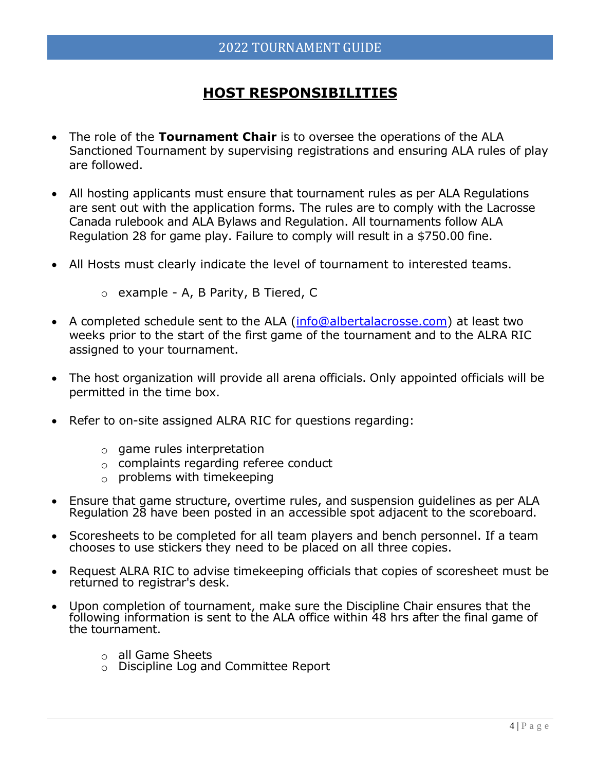# **HOST RESPONSIBILITIES**

- The role of the **Tournament Chair** is to oversee the operations of the ALA Sanctioned Tournament by supervising registrations and ensuring ALA rules of play are followed.
- All hosting applicants must ensure that tournament rules as per ALA Regulations are sent out with the application forms. The rules are to comply with the Lacrosse Canada rulebook and ALA Bylaws and Regulation. All tournaments follow ALA Regulation 28 for game play. Failure to comply will result in a \$750.00 fine.
- All Hosts must clearly indicate the level of tournament to interested teams.
	- o example A, B Parity, B Tiered, C
- A completed schedule sent to the ALA [\(info@albertalacrosse.com\)](mailto:info@albertalacrosse.com) at least two weeks prior to the start of the first game of the tournament and to the ALRA RIC assigned to your tournament.
- The host organization will provide all arena officials. Only appointed officials will be permitted in the time box.
- Refer to on-site assigned ALRA RIC for questions regarding:
	- $\circ$  game rules interpretation
	- $\circ$  complaints regarding referee conduct
	- $\circ$  problems with timekeeping
- Ensure that game structure, overtime rules, and suspension guidelines as per ALA Regulation 28 have been posted in an accessible spot adjacent to the scoreboard.
- Scoresheets to be completed for all team players and bench personnel. If a team chooses to use stickers they need to be placed on all three copies.
- Request ALRA RIC to advise timekeeping officials that copies of scoresheet must be returned to registrar's desk.
- Upon completion of tournament, make sure the Discipline Chair ensures that the following information is sent to the ALA office within 48 hrs after the final game of the tournament.
	- $\circ$  all Game Sheets
	- o Discipline Log and Committee Report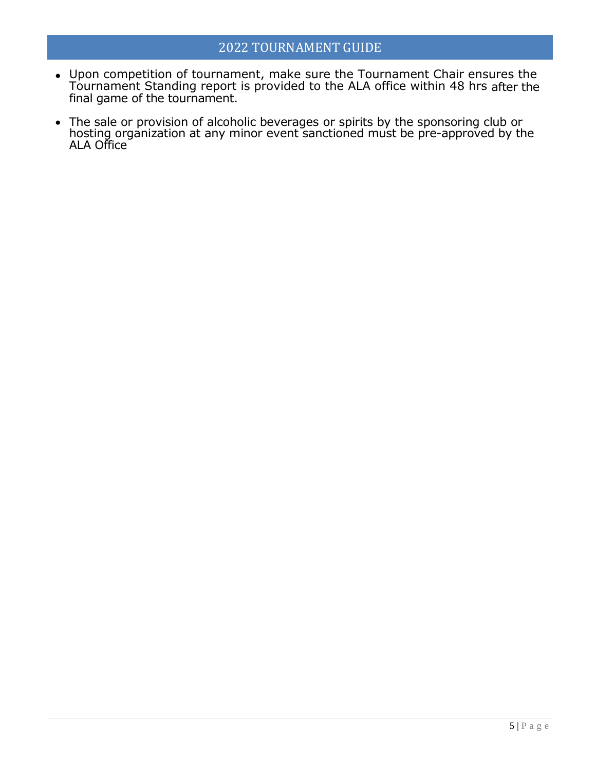## 2022 TOURNAMENT GUIDE

- Upon competition of tournament, make sure the Tournament Chair ensures the Tournament Standing report is provided to the ALA office within 48 hrs after the final game of the tournament.
- The sale or provision of alcoholic beverages or spirits by the sponsoring club or hosting organization at any minor event sanctioned must be pre-approved by the ALA Office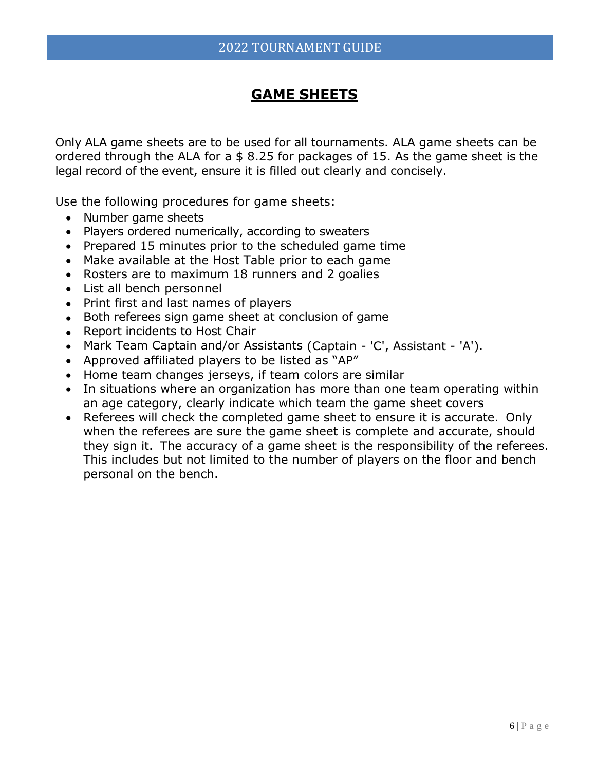## **GAME SHEETS**

Only ALA game sheets are to be used for all tournaments. ALA game sheets can be ordered through the ALA for a \$ 8.25 for packages of 15. As the game sheet is the legal record of the event, ensure it is filled out clearly and concisely.

Use the following procedures for game sheets:

- Number game sheets
- Players ordered numerically, according to sweaters
- Prepared 15 minutes prior to the scheduled game time
- Make available at the Host Table prior to each game
- Rosters are to maximum 18 runners and 2 goalies
- List all bench personnel
- Print first and last names of players
- Both referees sign game sheet at conclusion of game
- Report incidents to Host Chair
- Mark Team Captain and/or Assistants (Captain 'C', Assistant 'A').
- Approved affiliated players to be listed as "AP"
- Home team changes jerseys, if team colors are similar
- In situations where an organization has more than one team operating within an age category, clearly indicate which team the game sheet covers
- Referees will check the completed game sheet to ensure it is accurate. Only when the referees are sure the game sheet is complete and accurate, should they sign it. The accuracy of a game sheet is the responsibility of the referees. This includes but not limited to the number of players on the floor and bench personal on the bench.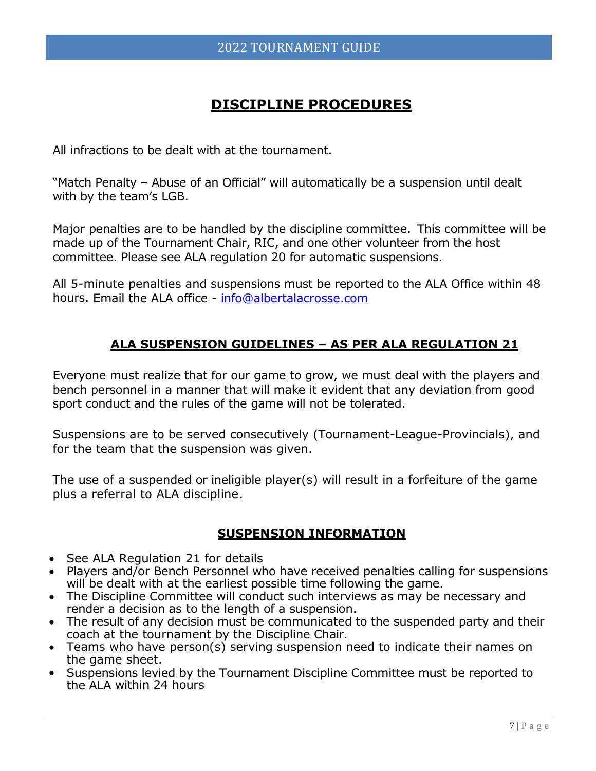## **DISCIPLINE PROCEDURES**

All infractions to be dealt with at the tournament.

"Match Penalty – Abuse of an Official" will automatically be a suspension until dealt with by the team's LGB.

Major penalties are to be handled by the discipline committee. This committee will be made up of the Tournament Chair, RIC, and one other volunteer from the host committee. Please see ALA regulation 20 for automatic suspensions.

All 5-minute penalties and suspensions must be reported to the ALA Office within 48 hours. Email the ALA office - [info@albertalacrosse.com](mailto:info@albertalacrosse.com)

## **ALA SUSPENSION GUIDELINES – AS PER ALA REGULATION 21**

Everyone must realize that for our game to grow, we must deal with the players and bench personnel in a manner that will make it evident that any deviation from good sport conduct and the rules of the game will not be tolerated.

Suspensions are to be served consecutively (Tournament-League-Provincials), and for the team that the suspension was given.

The use of a suspended or ineligible player(s) will result in a forfeiture of the game plus a referral to ALA discipline.

## **SUSPENSION INFORMATION**

- See ALA Regulation 21 for details
- Players and/or Bench Personnel who have received penalties calling for suspensions will be dealt with at the earliest possible time following the game.
- The Discipline Committee will conduct such interviews as may be necessary and render a decision as to the length of a suspension.
- The result of any decision must be communicated to the suspended party and their coach at the tournament by the Discipline Chair.
- Teams who have person(s) serving suspension need to indicate their names on the game sheet.
- Suspensions levied by the Tournament Discipline Committee must be reported to the ALA within 24 hours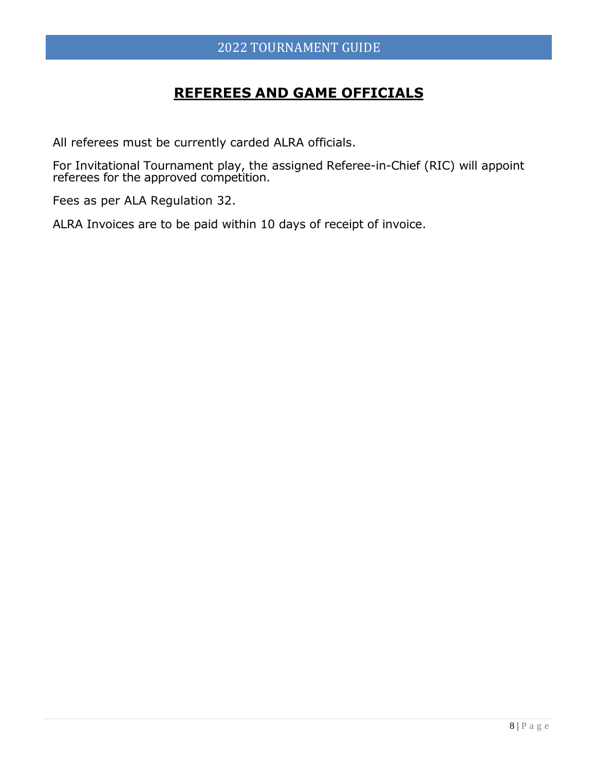# **REFEREES AND GAME OFFICIALS**

All referees must be currently carded ALRA officials.

For Invitational Tournament play, the assigned Referee-in-Chief (RIC) will appoint referees for the approved competition.

Fees as per ALA Regulation 32.

ALRA Invoices are to be paid within 10 days of receipt of invoice.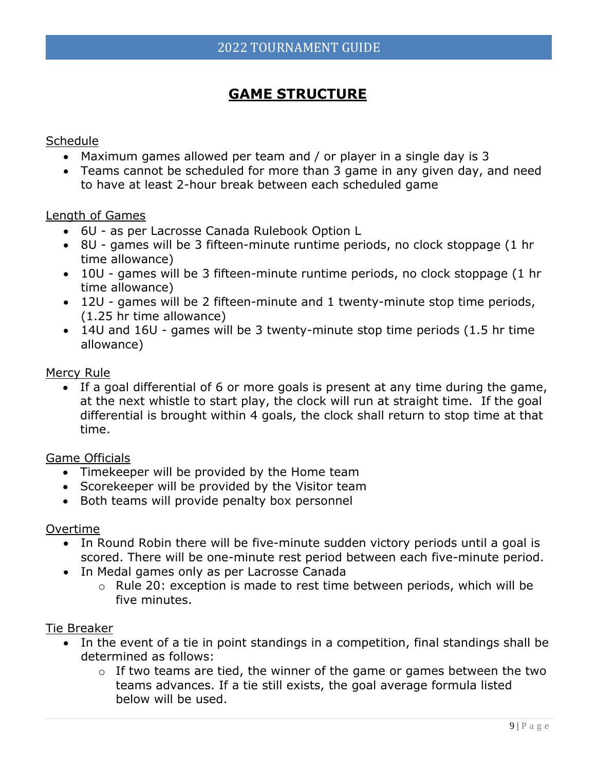# **GAME STRUCTURE**

#### **Schedule**

- Maximum games allowed per team and / or player in a single day is 3
- Teams cannot be scheduled for more than 3 game in any given day, and need to have at least 2-hour break between each scheduled game

#### Length of Games

- 6U as per Lacrosse Canada Rulebook Option L
- 8U games will be 3 fifteen-minute runtime periods, no clock stoppage (1 hr time allowance)
- 10U games will be 3 fifteen-minute runtime periods, no clock stoppage (1 hr time allowance)
- 12U games will be 2 fifteen-minute and 1 twenty-minute stop time periods, (1.25 hr time allowance)
- 14U and 16U games will be 3 twenty-minute stop time periods (1.5 hr time allowance)

#### Mercy Rule

• If a goal differential of 6 or more goals is present at any time during the game, at the next whistle to start play, the clock will run at straight time. If the goal differential is brought within 4 goals, the clock shall return to stop time at that time.

#### Game Officials

- Timekeeper will be provided by the Home team
- Scorekeeper will be provided by the Visitor team
- Both teams will provide penalty box personnel

#### Overtime

- In Round Robin there will be five-minute sudden victory periods until a goal is scored. There will be one-minute rest period between each five-minute period.
- In Medal games only as per Lacrosse Canada
	- o Rule 20: exception is made to rest time between periods, which will be five minutes.

#### Tie Breaker

- In the event of a tie in point standings in a competition, final standings shall be determined as follows:
	- $\circ$  If two teams are tied, the winner of the game or games between the two teams advances. If a tie still exists, the goal average formula listed below will be used.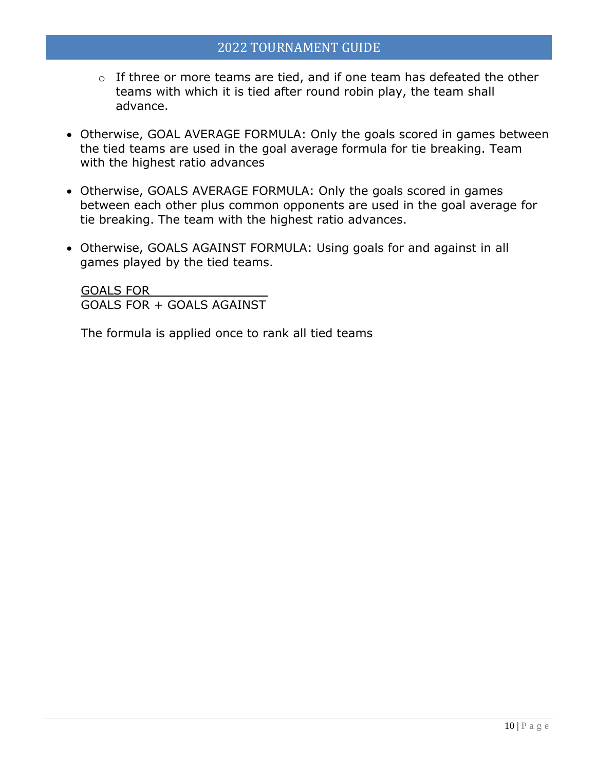- o If three or more teams are tied, and if one team has defeated the other teams with which it is tied after round robin play, the team shall advance.
- Otherwise, GOAL AVERAGE FORMULA: Only the goals scored in games between the tied teams are used in the goal average formula for tie breaking. Team with the highest ratio advances
- Otherwise, GOALS AVERAGE FORMULA: Only the goals scored in games between each other plus common opponents are used in the goal average for tie breaking. The team with the highest ratio advances.
- Otherwise, GOALS AGAINST FORMULA: Using goals for and against in all games played by the tied teams.

GOALS FOR \_\_\_\_\_\_\_\_\_\_\_ GOALS FOR + GOALS AGAINST

The formula is applied once to rank all tied teams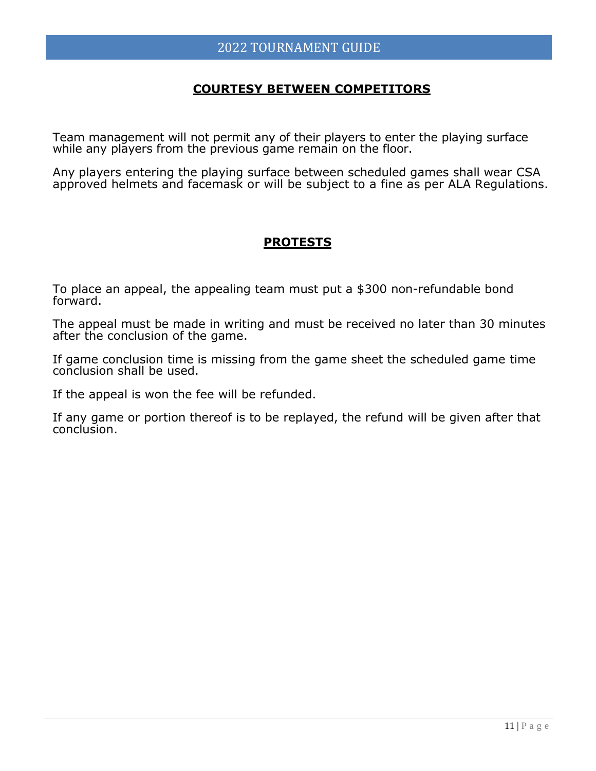#### **COURTESY BETWEEN COMPETITORS**

Team management will not permit any of their players to enter the playing surface while any players from the previous game remain on the floor.

Any players entering the playing surface between scheduled games shall wear CSA approved helmets and facemask or will be subject to a fine as per ALA Regulations.

## **PROTESTS**

To place an appeal, the appealing team must put a \$300 non-refundable bond forward.

The appeal must be made in writing and must be received no later than 30 minutes after the conclusion of the game.

If game conclusion time is missing from the game sheet the scheduled game time conclusion shall be used.

If the appeal is won the fee will be refunded.

If any game or portion thereof is to be replayed, the refund will be given after that conclusion.